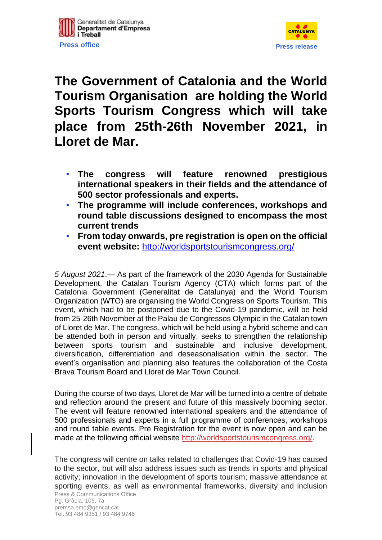



## **The Government of Catalonia and the World Tourism Organisation are holding the World Sports Tourism Congress which will take place from 25th-26th November 2021, in Lloret de Mar.**

- **The congress will feature renowned prestigious international speakers in their fields and the attendance of 500 sector professionals and experts.**
- **The programme will include conferences, workshops and round table discussions designed to encompass the most current trends**
- **From today onwards, pre registration is open on the official event website:** [http://worldsportstourismcongress.org/](https://eur03.safelinks.protection.outlook.com/?url=http%3A%2F%2Fworldsportstourismcongress.org%2F&data=04%7C01%7Cabastida%40gencat.cat%7Cc07d444cec8a48c7f38008d942c26970%7C3b9427dcd30e43bc8c06ff7253676fec%7C1%7C0%7C637614225023606701%7CUnknown%7CTWFpbGZsb3d8eyJWIjoiMC4wLjAwMDAiLCJQIjoiV2luMzIiLCJBTiI6Ik1haWwiLCJXVCI6Mn0%3D%7C1000&sdata=wSVeieMIUk%2FDZj4A72JMSkmFMpj4JumKfmuyoDmnK1I%3D&reserved=0)

*5 August 2021*.— As part of the framework of the 2030 Agenda for Sustainable Development, the Catalan Tourism Agency (CTA) which forms part of the Catalonia Government (Generalitat de Catalunya) and the World Tourism Organization (WTO) are organising the World Congress on Sports Tourism. This event, which had to be postponed due to the Covid-19 pandemic, will be held from 25-26th November at the Palau de Congressos Olympic in the Catalan town of Lloret de Mar. The congress, which will be held using a hybrid scheme and can be attended both in person and virtually, seeks to strengthen the relationship between sports tourism and sustainable and inclusive development, diversification, differentiation and deseasonalisation within the sector. The event's organisation and planning also features the collaboration of the Costa Brava Tourism Board and Lloret de Mar Town Council.

During the course of two days, Lloret de Mar will be turned into a centre of debate and reflection around the present and future of this massively booming sector. The event will feature renowned international speakers and the attendance of 500 professionals and experts in a full programme of conferences, workshops and round table events. Pre Registration for the event is now open and can be made at the following official website [http://worldsportstourismcongress.org/.](https://eur03.safelinks.protection.outlook.com/?url=http%3A%2F%2Fworldsportstourismcongress.org%2F&data=04%7C01%7Cabastida%40gencat.cat%7Cc07d444cec8a48c7f38008d942c26970%7C3b9427dcd30e43bc8c06ff7253676fec%7C1%7C0%7C637614225023606701%7CUnknown%7CTWFpbGZsb3d8eyJWIjoiMC4wLjAwMDAiLCJQIjoiV2luMzIiLCJBTiI6Ik1haWwiLCJXVCI6Mn0%3D%7C1000&sdata=wSVeieMIUk%2FDZj4A72JMSkmFMpj4JumKfmuyoDmnK1I%3D&reserved=0)

Press & Communications Office The congress will centre on talks related to challenges that Covid-19 has caused to the sector, but will also address issues such as trends in sports and physical activity; innovation in the development of sports tourism; massive attendance at sporting events, as well as environmental frameworks, diversity and inclusion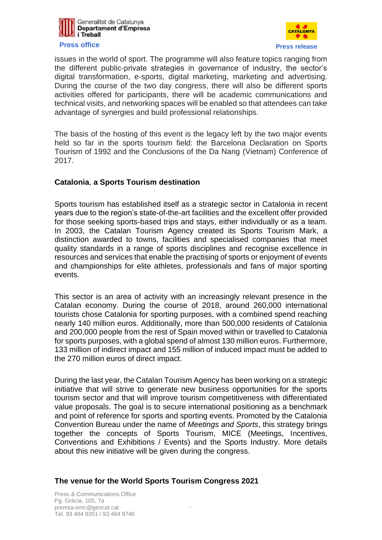



issues in the world of sport. The programme will also feature topics ranging from the different public-private strategies in governance of industry, the sector's digital transformation, e-sports, digital marketing, marketing and advertising. During the course of the two day congress, there will also be different sports activities offered for participants, there will be academic communications and technical visits, and networking spaces will be enabled so that attendees can take advantage of synergies and build professional relationships.

The basis of the hosting of this event is the legacy left by the two major events held so far in the sports tourism field: the Barcelona Declaration on Sports Tourism of 1992 and the Conclusions of the Da Nang (Vietnam) Conference of 2017.

## **Catalonia**, **a Sports Tourism destination**

Sports tourism has established itself as a strategic sector in Catalonia in recent years due to the region's state-of-the-art facilities and the excellent offer provided for those seeking sports-based trips and stays, either individually or as a team. In 2003, the Catalan Tourism Agency created its Sports Tourism Mark, a distinction awarded to towns, facilities and specialised companies that meet quality standards in a range of sports disciplines and recognise excellence in resources and services that enable the practising of sports or enjoyment of events and championships for elite athletes, professionals and fans of major sporting events.

This sector is an area of activity with an increasingly relevant presence in the Catalan economy. During the course of 2018, around 260,000 international tourists chose Catalonia for sporting purposes, with a combined spend reaching nearly 140 million euros. Additionally, more than 500,000 residents of Catalonia and 200,000 people from the rest of Spain moved within or travelled to Catalonia for sports purposes, with a global spend of almost 130 million euros. Furthermore, 133 million of indirect impact and 155 million of induced impact must be added to the 270 million euros of direct impact.

During the last year, the Catalan Tourism Agency has been working on a strategic initiative that will strive to generate new business opportunities for the sports tourism sector and that will improve tourism competitiveness with differentiated value proposals. The goal is to secure international positioning as a benchmark and point of reference for sports and sporting events. Promoted by the Catalonia Convention Bureau under the name of *Meetings and Sports*, this strategy brings together the concepts of Sports Tourism, MICE (Meetings, Incentives, Conventions and Exhibitions / Events) and the Sports Industry. More details about this new initiative will be given during the congress.

## **The venue for the World Sports Tourism Congress 2021**